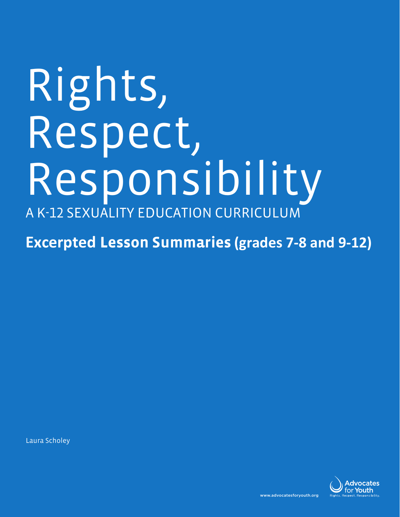# Rights, Respect, Responsibility A K-12 SEXUALITY EDUCATION CURRICULUM

**Excerpted Lesson Summaries (grades 7-8 and 9-12)**

Laura Scholey

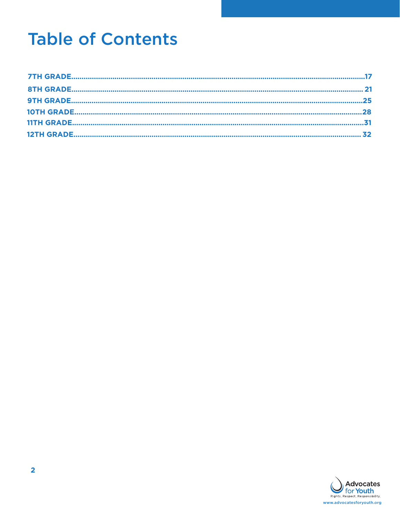# **Table of Contents**

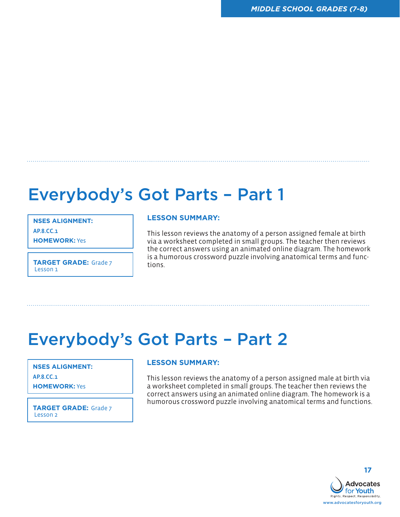### Everybody's Got Parts – Part 1

**NSES ALIGNMENT:**

AP.8.CC.1

**HOMEWORK:** Yes

**TARGET GRADE:** Grade 7 **TARGET** Lesson 1

#### **LESSON SUMMARY:**

This lesson reviews the anatomy of a person assigned female at birth via a worksheet completed in small groups. The teacher then reviews the correct answers using an animated online diagram. The homework is a humorous crossword puzzle involving anatomical terms and func-

### Everybody's Got Parts – Part 2

**NSES ALIGNMENT:**  AP.8.CC.1

**HOMEWORK:** Yes

Lesson 2

### **LESSON SUMMARY:**

This lesson reviews the anatomy of a person assigned male at birth via a worksheet completed in small groups. The teacher then reviews the correct answers using an animated online diagram. The homework is a **TARGET GRADE:** Grade 7 humorous crossword puzzle involving anatomical terms and functions.

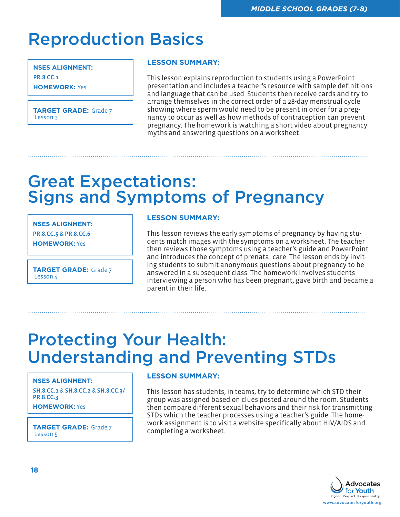### Reproduction Basics

**NSES ALIGNMENT:**  PR.8.CC.1 **HOMEWORK:** Yes

**TARGET GRADE:** Grade 7 Lesson 3

### **LESSON SUMMARY:**

This lesson explains reproduction to students using a PowerPoint presentation and includes a teacher's resource with sample definitions and language that can be used. Students then receive cards and try to arrange themselves in the correct order of a 28-day menstrual cycle showing where sperm would need to be present in order for a pregnancy to occur as well as how methods of contraception can prevent pregnancy. The homework is watching a short video about pregnancy myths and answering questions on a worksheet.

### Great Expectations: Signs and Symptoms of Pregnancy

**NSES ALIGNMENT:** 

PR.8.CC.5 & PR.8.CC.6

**HOMEWORK:** Yes

**TARGET GRADE:** Grade 7 Lesson 4

### **LESSON SUMMARY:**

This lesson reviews the early symptoms of pregnancy by having students match images with the symptoms on a worksheet. The teacher then reviews those symptoms using a teacher's guide and PowerPoint and introduces the concept of prenatal care. The lesson ends by inviting students to submit anonymous questions about pregnancy to be answered in a subsequent class. The homework involves students interviewing a person who has been pregnant, gave birth and became a parent in their life.

### Protecting Your Health: Understanding and Preventing STDs

#### **NSES ALIGNMENT:**

SH.8.CC.1 & SH.8.CC.2 & SH.8.CC.3/ PR.8.CC.3

**HOMEWORK:** Yes

**TARGET GRADE:** Grade 7 **TARGET GRADE:** Grade 7 **TARGET GRADE:** Completing a worksheet. Lesson 5

### **LESSON SUMMARY:**

This lesson has students, in teams, try to determine which STD their group was assigned based on clues posted around the room. Students then compare different sexual behaviors and their risk for transmitting STDs which the teacher processes using a teacher's guide. The homework assignment is to visit a website specifically about HIV/AIDS and

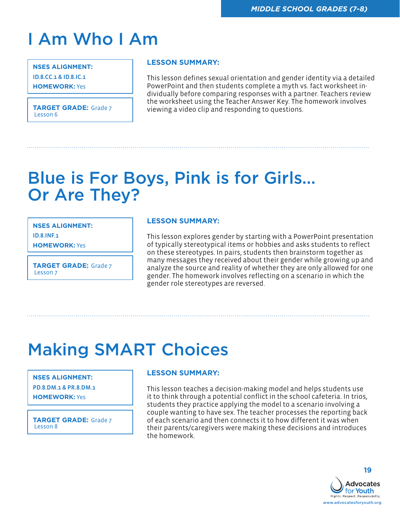# I Am Who I Am

**NSES ALIGNMENT:**  ID.8.CC.1 & ID.8.IC.1

**HOMEWORK:** Yes

### **LESSON SUMMARY:**

This lesson defines sexual orientation and gender identity via a detailed PowerPoint and then students complete a myth vs. fact worksheet individually before comparing responses with a partner. Teachers review the worksheet using the Teacher Answer Key. The homework involves<br>Lesson 6<br>Lesson 6

### Blue is For Boys, Pink is for Girls… Or Are They?

**NSES ALIGNMENT:**  ID.8.INF.1

**HOMEWORK:** Yes

**TARGET GRADE:** Grade 7 Lesson 7

### **LESSON SUMMARY:**

This lesson explores gender by starting with a PowerPoint presentation of typically stereotypical items or hobbies and asks students to reflect on these stereotypes. In pairs, students then brainstorm together as many messages they received about their gender while growing up and analyze the source and reality of whether they are only allowed for one gender. The homework involves reflecting on a scenario in which the gender role stereotypes are reversed.

# Making SMART Choices

### **NSES ALIGNMENT:**

PD.8.DM.1 & PR.8.DM.1 **HOMEWORK:** Yes

**TARGET GRADE:** Grade 7 Lesson 8

### **LESSON SUMMARY:**

This lesson teaches a decision-making model and helps students use it to think through a potential conflict in the school cafeteria. In trios, students they practice applying the model to a scenario involving a couple wanting to have sex. The teacher processes the reporting back of each scenario and then connects it to how different it was when their parents/caregivers were making these decisions and introduces the homework.



**19**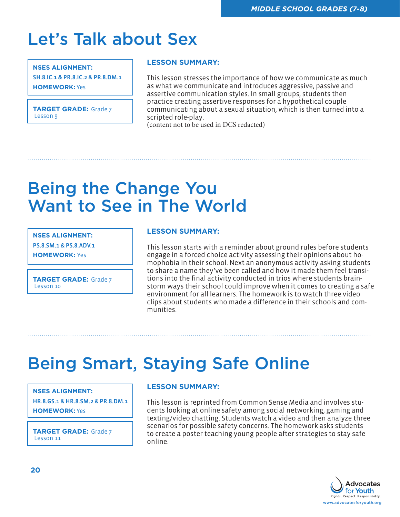# Let's Talk about Sex

#### **NSES ALIGNMENT:**

SH.8.IC.1 & PR.8.IC.2 & PR.8.DM.1 **HOMEWORK:** Yes

**TARGET GRADE:** Grade 7 Lesson 9

### **LESSON SUMMARY:**

This lesson stresses the importance of how we communicate as much as what we communicate and introduces aggressive, passive and assertive communication styles. In small groups, students then practice creating assertive responses for a hypothetical couple communicating about a sexual situation, which is then turned into a scripted role-play. (content not to be used in DCS redacted)

### Being the Change You Want to See in The World

**NSES ALIGNMENT:**  PS.8.SM.1 & PS.8.ADV.1

**HOMEWORK:** Yes

**TARGET GRADE:** Grade 7 Lesson 10

### **LESSON SUMMARY:**

This lesson starts with a reminder about ground rules before students engage in a forced choice activity assessing their opinions about homophobia in their school. Next an anonymous activity asking students to share a name they've been called and how it made them feel transitions into the final activity conducted in trios where students brainstorm ways their school could improve when it comes to creating a safe environment for all learners. The homework is to watch three video clips about students who made a difference in their schools and communities.

### Being Smart, Staying Safe Online

#### **NSES ALIGNMENT:**

HR.8.GS.1 & HR.8.SM.2 & PR.8.DM.1 **HOMEWORK:** Yes

**TARGET GRADE:** Grade 7 Lesson 11

### **LESSON SUMMARY:**

This lesson is reprinted from Common Sense Media and involves students looking at online safety among social networking, gaming and texting/video chatting. Students watch a video and then analyze three scenarios for possible safety concerns. The homework asks students to create a poster teaching young people after strategies to stay safe online.

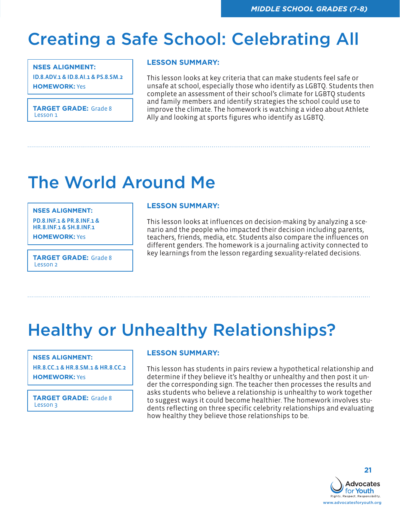### Creating a Safe School: Celebrating All

### **NSES ALIGNMENT:**

ID.8.ADV.1 & ID.8.AI.1 & PS.8.SM.2 **HOMEWORK:** Yes

**TARGET GRADE:** Grade 8 Lesson 1

### **LESSON SUMMARY:**

This lesson looks at key criteria that can make students feel safe or unsafe at school, especially those who identify as LGBTQ. Students then complete an assessment of their school's climate for LGBTQ students and family members and identify strategies the school could use to improve the climate. The homework is watching a video about Athlete Ally and looking at sports figures who identify as LGBTQ.

# The World Around Me

#### **NSES ALIGNMENT:**

PD.8.INF.1 & PR.8.INF.1 & HR.8.INF.1 & SH.8.INF.1

**HOMEWORK:** Yes

Lesson 2

### **LESSON SUMMARY:**

This lesson looks at influences on decision-making by analyzing a scenario and the people who impacted their decision including parents, teachers, friends, media, etc. Students also compare the influences on different genders. The homework is a journaling activity connected to key learnings from the lesson regarding sexuality-related decisions. **TARGET GRADE:** Grade 8

# Healthy or Unhealthy Relationships?

#### **NSES ALIGNMENT:**

HR.8.CC.1 & HR.8.SM.1 & HR.8.CC.2 **HOMEWORK:** Yes

**TARGET GRADE:** Grade 8 Lesson 3

### **LESSON SUMMARY:**

This lesson has students in pairs review a hypothetical relationship and determine if they believe it's healthy or unhealthy and then post it under the corresponding sign. The teacher then processes the results and asks students who believe a relationship is unhealthy to work together to suggest ways it could become healthier. The homework involves students reflecting on three specific celebrity relationships and evaluating how healthy they believe those relationships to be.

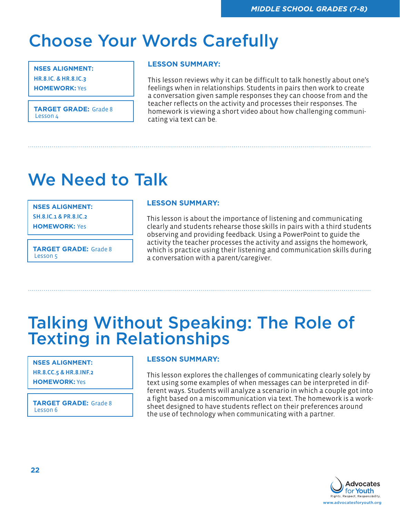### Choose Your Words Carefully

### **NSES ALIGNMENT:**

HR.8.IC. & HR.8.IC.3

**HOMEWORK:** Yes

**TARGET GRADE:** Grade 8 Lesson 4

### **LESSON SUMMARY:**

This lesson reviews why it can be difficult to talk honestly about one's feelings when in relationships. Students in pairs then work to create a conversation given sample responses they can choose from and the teacher reflects on the activity and processes their responses. The homework is viewing a short video about how challenging communicating via text can be.

### We Need to Talk

#### **NSES ALIGNMENT:**

SH.8.IC.1 & PR.8.IC.2

**HOMEWORK:** Yes

**TARGET GRADE:** Grade 8 Lesson 5

#### **LESSON SUMMARY:**

This lesson is about the importance of listening and communicating clearly and students rehearse those skills in pairs with a third students observing and providing feedback. Using a PowerPoint to guide the activity the teacher processes the activity and assigns the homework, which is practice using their listening and communication skills during a conversation with a parent/caregiver.

### Talking Without Speaking: The Role of **Texting in Relationships**

### **NSES ALIGNMENT:**  HR.8.CC.5 & HR.8.INF.2

**HOMEWORK:** Yes

**TARGET GRADE:** Grade 8 Lesson 6

### **LESSON SUMMARY:**

This lesson explores the challenges of communicating clearly solely by text using some examples of when messages can be interpreted in different ways. Students will analyze a scenario in which a couple got into a fight based on a miscommunication via text. The homework is a worksheet designed to have students reflect on their preferences around the use of technology when communicating with a partner.

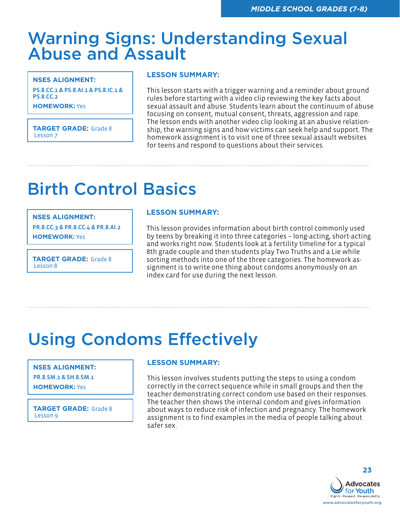### Warning Signs: Understanding Sexual Abuse and Assault

**NSES ALIGNMENT:** 

PS.8.CC.1 & PS.8.AI.1 & PS.8.IC.1 & PS.8.CC.2

**HOMEWORK:** Yes

**TARGET GRADE:** Grade 8 Lesson 7

#### **LESSON SUMMARY:**

This lesson starts with a trigger warning and a reminder about ground rules before starting with a video clip reviewing the key facts about sexual assault and abuse. Students learn about the continuum of abuse focusing on consent, mutual consent, threats, aggression and rape. The lesson ends with another video clip looking at an abusive relationship, the warning signs and how victims can seek help and support. The homework assignment is to visit one of three sexual assault websites for teens and respond to questions about their services.

# Birth Control Basics

#### **NSES ALIGNMENT:**

PR.8.CC.3 & PR.8.CC.4 & PR.8.AI.2 **HOMEWORK:** Yes

**TARGET GRADE:** Grade 8 Lesson 8

### **LESSON SUMMARY:**

This lesson provides information about birth control commonly used by teens by breaking it into three categories – long-acting, short-acting and works right now. Students look at a fertility timeline for a typical 8th grade couple and then students play Two Truths and a Lie while sorting methods into one of the three categories. The homework assignment is to write one thing about condoms anonymously on an index card for use during the next lesson.

### Using Condoms Effectively

#### **NSES ALIGNMENT:**

PR.8.SM.1 & SH.8.SM.1 **HOMEWORK:** Yes

**TARGET GRADE:** Grade 8 Lesson 9

### **LESSON SUMMARY:**

This lesson involves students putting the steps to using a condom correctly in the correct sequence while in small groups and then the teacher demonstrating correct condom use based on their responses. The teacher then shows the internal condom and gives information about ways to reduce risk of infection and pregnancy. The homework assignment is to find examples in the media of people talking about safer sex.

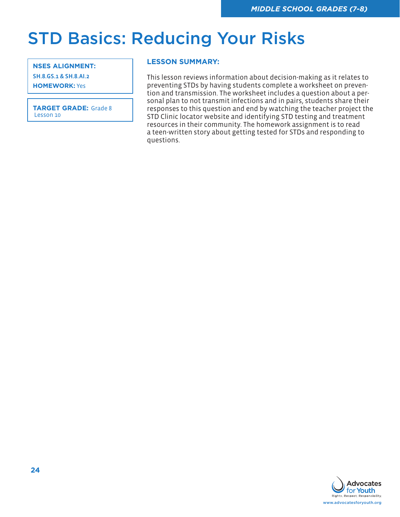### STD Basics: Reducing Your Risks

#### **NSES ALIGNMENT:**

SH.8.GS.1 & SH.8.AI.2

**HOMEWORK:** Yes

**TARGET GRADE:** Grade 8 Lesson 10

### **LESSON SUMMARY:**

This lesson reviews information about decision-making as it relates to preventing STDs by having students complete a worksheet on prevention and transmission. The worksheet includes a question about a personal plan to not transmit infections and in pairs, students share their responses to this question and end by watching the teacher project the STD Clinic locator website and identifying STD testing and treatment resources in their community. The homework assignment is to read a teen-written story about getting tested for STDs and responding to questions.

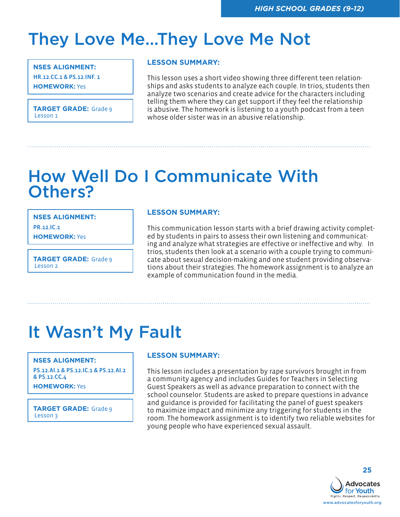### They Love Me…They Love Me Not

#### **NSES ALIGNMENT:**

HR.12.CC.1 & PS.12.INF. 1

**HOMEWORK:** Yes

**TARGET GRADE:** Grade 9 Lesson 1

### **LESSON SUMMARY:**

This lesson uses a short video showing three different teen relationships and asks students to analyze each couple. In trios, students then analyze two scenarios and create advice for the characters including telling them where they can get support if they feel the relationship is abusive. The homework is listening to a youth podcast from a teen whose older sister was in an abusive relationship.

### How Well Do I Communicate With Others?

**NSES ALIGNMENT:** 

PR.12.IC.1

**HOMEWORK:** Yes

**TARGET GRADE:** Grade 9 Lesson 2

### **LESSON SUMMARY:**

This communication lesson starts with a brief drawing activity completed by students in pairs to assess their own listening and communicating and analyze what strategies are effective or ineffective and why. In trios, students then look at a scenario with a couple trying to communicate about sexual decision-making and one student providing observations about their strategies. The homework assignment is to analyze an example of communication found in the media.

### It Wasn't My Fault

### **NSES ALIGNMENT:**

PS.12.AI.1 & PS.12.IC.1 & PS.12.AI.2 & PS.12.CC.4

**HOMEWORK:** Yes

**TARGET GRADE:** Grade 9 Lesson 3

### **LESSON SUMMARY:**

This lesson includes a presentation by rape survivors brought in from a community agency and includes Guides for Teachers in Selecting Guest Speakers as well as advance preparation to connect with the school counselor. Students are asked to prepare questions in advance and guidance is provided for facilitating the panel of guest speakers to maximize impact and minimize any triggering for students in the room. The homework assignment is to identify two reliable websites for young people who have experienced sexual assault.

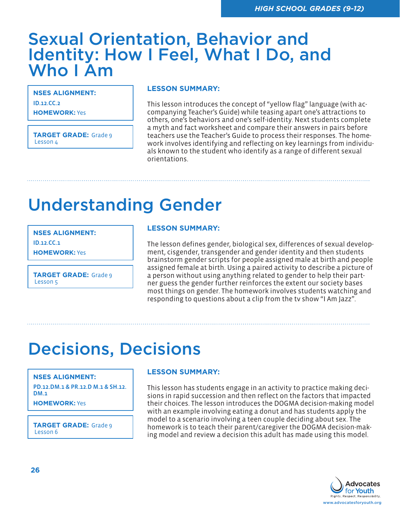### Sexual Orientation, Behavior and Identity: How I Feel, What I Do, and Who I Am

**NSES ALIGNMENT:**  ID.12.CC.2 **HOMEWORK:** Yes

**TARGET GRADE:** Grade 9 Lesson 4

#### **LESSON SUMMARY:**

This lesson introduces the concept of "yellow flag" language (with accompanying Teacher's Guide) while teasing apart one's attractions to others, one's behaviors and one's self-identity. Next students complete a myth and fact worksheet and compare their answers in pairs before teachers use the Teacher's Guide to process their responses. The homework involves identifying and reflecting on key learnings from individuals known to the student who identify as a range of different sexual orientations.

# Understanding Gender

**NSES ALIGNMENT:**  ID.12.CC.1

**HOMEWORK:** Yes

**TARGET GRADE:** Grade 9 Lesson 5

### **LESSON SUMMARY:**

The lesson defines gender, biological sex, differences of sexual development, cisgender, transgender and gender identity and then students brainstorm gender scripts for people assigned male at birth and people assigned female at birth. Using a paired activity to describe a picture of a person without using anything related to gender to help their partner guess the gender further reinforces the extent our society bases most things on gender. The homework involves students watching and responding to questions about a clip from the tv show "I Am Jazz".

### Decisions, Decisions

#### **NSES ALIGNMENT:**

PD.12.DM.1 & PR.12.D M.1 & SH.12. DM<sub>1</sub>

**HOMEWORK:** Yes

**TARGET GRADE:** Grade 9 Lesson 6

### **LESSON SUMMARY:**

This lesson has students engage in an activity to practice making decisions in rapid succession and then reflect on the factors that impacted their choices. The lesson introduces the DOGMA decision-making model with an example involving eating a donut and has students apply the model to a scenario involving a teen couple deciding about sex. The homework is to teach their parent/caregiver the DOGMA decision-making model and review a decision this adult has made using this model.

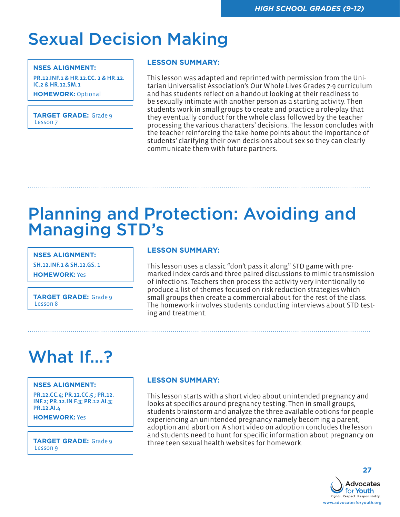### Sexual Decision Making

#### **NSES ALIGNMENT:**

PR.12.INF.1 & HR.12.CC. 2 & HR.12. IC.2 & HR.12.SM.1 **HOMEWORK:** Optional

**TARGET GRADE:** Grade 9 Lesson 7

### **LESSON SUMMARY:**

This lesson was adapted and reprinted with permission from the Unitarian Universalist Association's Our Whole Lives Grades 7-9 curriculum and has students reflect on a handout looking at their readiness to be sexually intimate with another person as a starting activity. Then students work in small groups to create and practice a role-play that they eventually conduct for the whole class followed by the teacher processing the various characters' decisions. The lesson concludes with the teacher reinforcing the take-home points about the importance of students' clarifying their own decisions about sex so they can clearly communicate them with future partners.

### Planning and Protection: Avoiding and Managing STD's

**NSES ALIGNMENT:** 

SH.12.INF.1 & SH.12.GS. 1 **HOMEWORK:** Yes

**TARGET GRADE:** Grade 9 Lesson 8

### **LESSON SUMMARY:**

This lesson uses a classic "don't pass it along" STD game with premarked index cards and three paired discussions to mimic transmission of infections. Teachers then process the activity very intentionally to produce a list of themes focused on risk reduction strategies which small groups then create a commercial about for the rest of the class. The homework involves students conducting interviews about STD testing and treatment.

### What If…?

#### **NSES ALIGNMENT:**

PR.12.CC.4; PR.12.CC.5 ; PR.12. INF.2; PR.12.IN F.3; PR.12.AI.3; PR.12.AI.4

**HOMEWORK:** Yes

Lesson 9

### **LESSON SUMMARY:**

This lesson starts with a short video about unintended pregnancy and looks at specifics around pregnancy testing. Then in small groups, students brainstorm and analyze the three available options for people experiencing an unintended pregnancy namely becoming a parent, adoption and abortion. A short video on adoption concludes the lesson and students need to hunt for specific information about pregnancy on **TARGET GRADE:** Grade 9 three teen sexual health websites for homework.

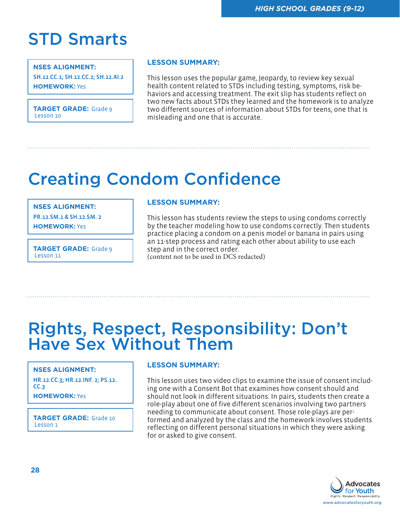### STD Smarts

#### **NSES ALIGNMENT:**

SH.12.CC.1; SH.12.CC.2; SH.12.AI.2 **HOMEWORK:** Yes

**TARGET GRADE:** Grade 9 Lesson 10

### **LESSON SUMMARY:**

This lesson uses the popular game, Jeopardy, to review key sexual health content related to STDs including testing, symptoms, risk behaviors and accessing treatment. The exit slip has students reflect on two new facts about STDs they learned and the homework is to analyze two different sources of information about STDs for teens, one that is misleading and one that is accurate.

### Creating Condom Confidence

#### **NSES ALIGNMENT:**

PR.12.SM.1 & SH.12.SM. 2

**HOMEWORK:** Yes

**TARGET GRADE:** Grade 9 Lesson 11

#### **LESSON SUMMARY:**

This lesson has students review the steps to using condoms correctly by the teacher modeling how to use condoms correctly. Then students practice placing a condom on a penis model or banana in pairs using an 11-step process and rating each other about ability to use each step and in the correct order. (content not to be used in DCS redacted)

### Rights, Respect, Responsibility: Don't Have Sex Without Them

#### **NSES ALIGNMENT:**

HR.12.CC.3; HR.12.INF. 2; PS.12. CC.3 **HOMEWORK:** Yes

**TARGET GRADE:** Grade 10 Lesson 1

### **LESSON SUMMARY:**

This lesson uses two video clips to examine the issue of consent including one with a Consent Bot that examines how consent should and should not look in different situations. In pairs, students then create a role-play about one of five different scenarios involving two partners needing to communicate about consent. Those role-plays are performed and analyzed by the class and the homework involves students reflecting on different personal situations in which they were asking for or asked to give consent.

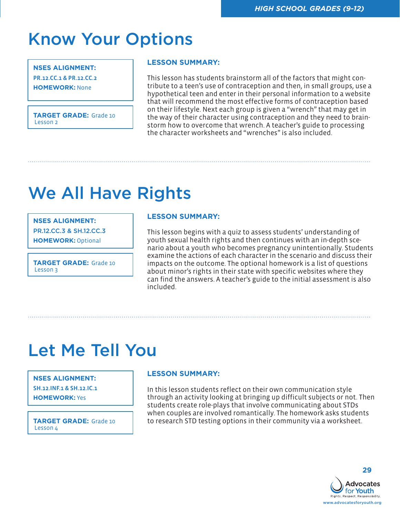### Know Your Options

#### **NSES ALIGNMENT:**

PR.12.CC.1 & PR.12.CC.2

**HOMEWORK:** None

**TARGET GRADE:** Grade 10 Lesson<sub>2</sub>

### **LESSON SUMMARY:**

This lesson has students brainstorm all of the factors that might contribute to a teen's use of contraception and then, in small groups, use a hypothetical teen and enter in their personal information to a website that will recommend the most effective forms of contraception based on their lifestyle. Next each group is given a "wrench" that may get in the way of their character using contraception and they need to brainstorm how to overcome that wrench. A teacher's guide to processing the character worksheets and "wrenches" is also included.

## We All Have Rights

#### **NSES ALIGNMENT:**

PR.12.CC.3 & SH.12.CC.3

**HOMEWORK:** Optional

**TARGET GRADE:** Grade 10 Lesson 3

### **LESSON SUMMARY:**

This lesson begins with a quiz to assess students' understanding of youth sexual health rights and then continues with an in-depth scenario about a youth who becomes pregnancy unintentionally. Students examine the actions of each character in the scenario and discuss their impacts on the outcome. The optional homework is a list of questions about minor's rights in their state with specific websites where they can find the answers. A teacher's guide to the initial assessment is also included.

### Let Me Tell You

#### **NSES ALIGNMENT:**

SH.12.INF.1 & SH.12.IC.1 **HOMEWORK:** Yes

Lesson 4

### **LESSON SUMMARY:**

In this lesson students reflect on their own communication style through an activity looking at bringing up difficult subjects or not. Then students create role-plays that involve communicating about STDs when couples are involved romantically. The homework asks students **TARGET GRADE:** Grade 10 to research STD testing options in their community via a worksheet.



**29**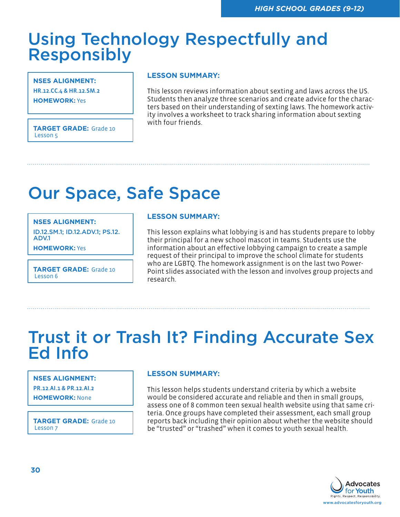### Using Technology Respectfully and Responsibly

**NSES ALIGNMENT:**  HR.12.CC.4 & HR.12.SM.2

**HOMEWORK:** Yes

**TARGET GRADE:** Grade 10 Lesson 5

### **LESSON SUMMARY:**

This lesson reviews information about sexting and laws across the US. Students then analyze three scenarios and create advice for the characters based on their understanding of sexting laws. The homework activity involves a worksheet to track sharing information about sexting with four friends.

# Our Space, Safe Space

#### **NSES ALIGNMENT:**

ID.12.SM.1; ID.12.ADV.1; PS.12. ADV.1

**HOMEWORK:** Yes

**TARGET GRADE:** Grade 10 Lesson 6

### **LESSON SUMMARY:**

This lesson explains what lobbying is and has students prepare to lobby their principal for a new school mascot in teams. Students use the information about an effective lobbying campaign to create a sample request of their principal to improve the school climate for students who are LGBTQ. The homework assignment is on the last two Power-Point slides associated with the lesson and involves group projects and research.

### Trust it or Trash It? Finding Accurate Sex Ed Info

#### **NSES ALIGNMENT:**

PR.12.AI.1 & PR.12.AI.2

**HOMEWORK:** None

**TARGET GRADE:** Grade 10 Lesson 7

### **LESSON SUMMARY:**

This lesson helps students understand criteria by which a website would be considered accurate and reliable and then in small groups, assess one of 8 common teen sexual health website using that same criteria. Once groups have completed their assessment, each small group reports back including their opinion about whether the website should be "trusted" or "trashed" when it comes to youth sexual health.

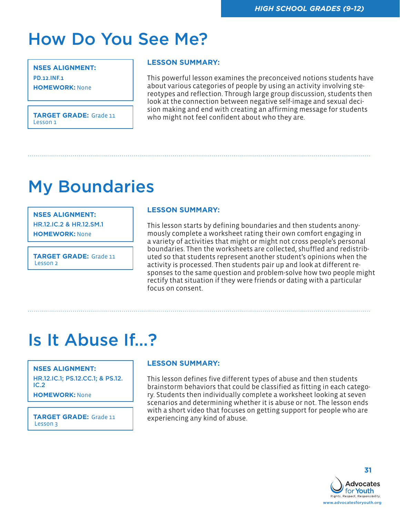### How Do You See Me?

**NSES ALIGNMENT:**  PD.12.INF.1 **HOMEWORK:** None

### **LESSON SUMMARY:**

This powerful lesson examines the preconceived notions students have about various categories of people by using an activity involving stereotypes and reflection. Through large group discussion, students then look at the connection between negative self-image and sexual decision making and end with creating an affirming message for students<br>**TARGET GRADE:** Grade 11 who might not feel confident about who they are.<br>Lesson 1

### My Boundaries

**NSES ALIGNMENT:** 

HR.12.IC.2 & HR.12.SM.1

**HOMEWORK:** None

**TARGET GRADE:** Grade 11 Lesson<sub>2</sub>

### **LESSON SUMMARY:**

This lesson starts by defining boundaries and then students anonymously complete a worksheet rating their own comfort engaging in a variety of activities that might or might not cross people's personal boundaries. Then the worksheets are collected, shuffled and redistributed so that students represent another student's opinions when the activity is processed. Then students pair up and look at different responses to the same question and problem-solve how two people might rectify that situation if they were friends or dating with a particular focus on consent.

### Is It Abuse If…?

#### **NSES ALIGNMENT:**

HR.12.IC.1; PS.12.CC.1; & PS.12. IC.2

**HOMEWORK:** None

**TARGET GRADE:** Grade 11 experiencing any kind of abuse.

### **LESSON SUMMARY:**

This lesson defines five different types of abuse and then students brainstorm behaviors that could be classified as fitting in each category. Students then individually complete a worksheet looking at seven scenarios and determining whether it is abuse or not. The lesson ends with a short video that focuses on getting support for people who are

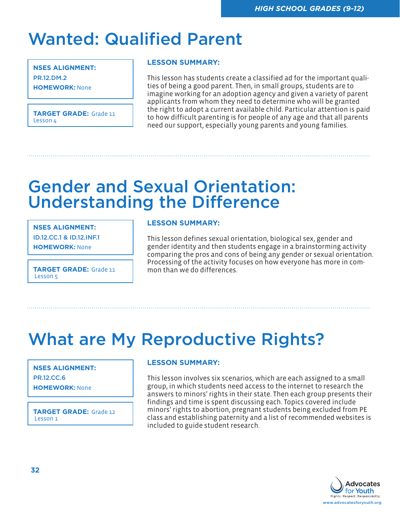# Wanted: Qualified Parent

**NSES ALIGNMENT:**  PR.12.DM.2 **HOMEWORK:** None

**TARGET GRADE:** Grade 11 Lesson 4

### **LESSON SUMMARY:**

This lesson has students create a classified ad for the important qualities of being a good parent. Then, in small groups, students are to imagine working for an adoption agency and given a variety of parent applicants from whom they need to determine who will be granted the right to adopt a current available child. Particular attention is paid to how difficult parenting is for people of any age and that all parents need our support, especially young parents and young families.

### Gender and Sexual Orientation: Understanding the Difference

**NSES ALIGNMENT:** 

ID.12.CC.1 & ID.12.INF.1

**HOMEWORK:** None

Lesson 5

### **LESSON SUMMARY:**

This lesson defines sexual orientation, biological sex, gender and gender identity and then students engage in a brainstorming activity comparing the pros and cons of being any gender or sexual orientation. Processing of the activity focuses on how everyone has more in com-**TARGET GRADE:** Grade 11 mon than we do differences.

### What are My Reproductive Rights?

#### **NSES ALIGNMENT:**

PR.12.CC.6

**HOMEWORK:** None

**TARGET GRADE:** Grade 12 Lesson 1

### **LESSON SUMMARY:**

This lesson involves six scenarios, which are each assigned to a small group, in which students need access to the internet to research the answers to minors' rights in their state. Then each group presents their findings and time is spent discussing each. Topics covered include minors' rights to abortion, pregnant students being excluded from PE class and establishing paternity and a list of recommended websites is included to guide student research.

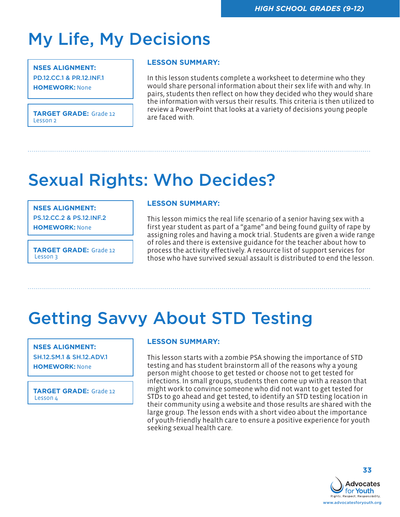# My Life, My Decisions

#### **NSES ALIGNMENT:**

PD.12.CC.1 & PR.12.INF.1 **HOMEWORK:** None

**TARGET GRADE:** Grade 12 **TEXACT ACCOUNT**<br>**TRACKLE TARGET GRADE:** Grade 12 **TEXACT ACCOUNT** Lesson 2

### **LESSON SUMMARY:**

In this lesson students complete a worksheet to determine who they would share personal information about their sex life with and why. In pairs, students then reflect on how they decided who they would share the information with versus their results. This criteria is then utilized to review a PowerPoint that looks at a variety of decisions young people

## Sexual Rights: Who Decides?

#### **NSES ALIGNMENT:**

PS.12.CC.2 & PS.12.INF.2

**HOMEWORK:** None

**TARGET GRADE:** Grade 12 Lesson 3

#### **LESSON SUMMARY:**

This lesson mimics the real life scenario of a senior having sex with a first year student as part of a "game" and being found guilty of rape by assigning roles and having a mock trial. Students are given a wide range of roles and there is extensive guidance for the teacher about how to process the activity effectively. A resource list of support services for those who have survived sexual assault is distributed to end the lesson.

# Getting Savvy About STD Testing

### **NSES ALIGNMENT:**  SH.12.SM.1 & SH.12.ADV.1 **HOMEWORK:** None

**TARGET GRADE:** Grade 12 Lesson 4

### **LESSON SUMMARY:**

This lesson starts with a zombie PSA showing the importance of STD testing and has student brainstorm all of the reasons why a young person might choose to get tested or choose not to get tested for infections. In small groups, students then come up with a reason that might work to convince someone who did not want to get tested for STDs to go ahead and get tested, to identify an STD testing location in their community using a website and those results are shared with the large group. The lesson ends with a short video about the importance of youth-friendly health care to ensure a positive experience for youth seeking sexual health care.